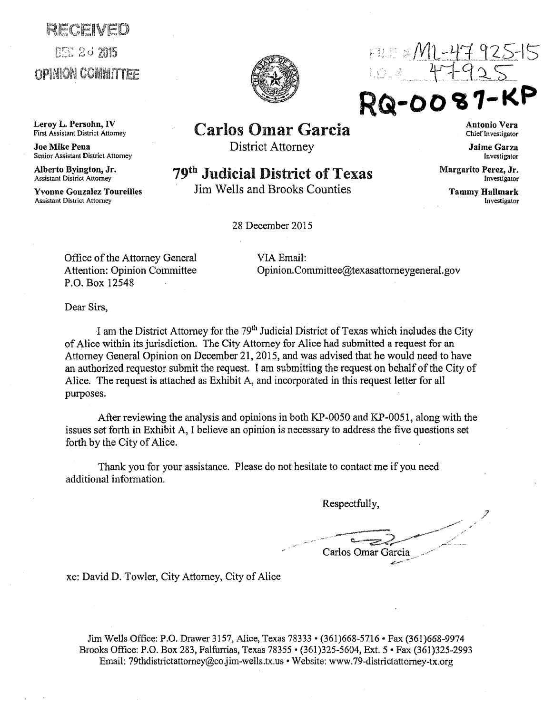## RECENED **PSC 20 2015 OPINION COMMITTEE**

Leroy L. Persohn, IV<br>First Assistant District Attorney

Joe Mike Pena Senior Assistant District Attorney

Alberto Byington, Jr.<br>Assistant District Attorney

Yvonne Gonzalez Toureilles Assistant District Attorney





RQ-00

## Carlos Omar Garcia

District Attorney

## 79<sup>th</sup> Judicial District of Texas

Jim Wells and Brooks Counties

28 December 2015

Antonio Vera Chief Investigator

Jaime Garza Investigator

Margarito Perez, Jr. Investigator

> Tammy Hallmark Investigator

Office of the Attorney General VIA Email: Attention: Opinion Committee P.O. Box 12548

Opinion.Committee@texasattomeygeneral.gov

Dear Sirs,

I am the District Attorney for the 79<sup>th</sup> Judicial District of Texas which includes the City of Alice within its jurisdiction. The City Attomey for Alice had submitted a request for an Attorney General Opinion on December 21, 2015, and was advised that he would need to have an authorized requestor submit the request. I am submitting the request on behalf of the City of Alice. The request is attached as Exhibit A, and incorporated in this request letter for all purposes.

After reviewing the analysis and opinions in both  $KP-0050$  and  $KP-0051$ , along with the issues set forth in Exhibit A, I believe an opinion is necessary to address the five questions set forth by the City of Alice.

Thank you for your assistance. Please do not hesitate to contact me if you need additional information.

Respectfully,

\_\_\_ \_\_.....-----:: ,~,#,,,,/''' ,.··· t!.---z-'.?r~ Carlos Omar Garcia

xc: David D. Towler, City Attorney) City of Alice

Jim Wells Office: P.O. Drawer 3157, Alice, Texas 78333 • (361)668-5716 •Fax (361)668-9974 Brooks Office: P.O. Box 283, Falfurrias, Texas 78355 • (361)325-5604, Ext. 5 •Fax (361)325-2993 Email: 79thdistrictattorney@co.jim-wells.tx.us • Website: www.79-districtattorney-tx.org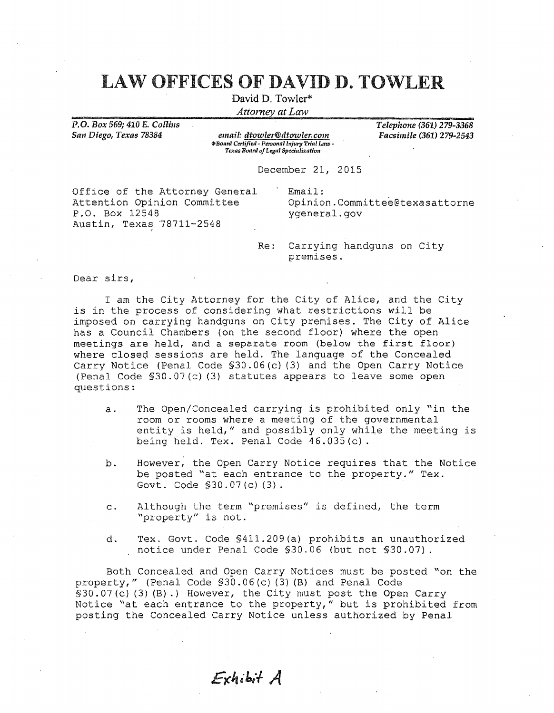## LAW OFFICES OF DAVID D. TOWLER

David D. Towler\*

Attorney at Law

P.O. *Box 569; 410 E. Collins San Diego, Texas 78384* 

*email: dtowler@dtowler.com \*Board Certified* - *Personal lnj11ry Trial I.aw* - *Texas Board of Legal Spedalizat{ on* 

*Telephone (361) 279-3368 Facsimile (361) 279-2543* 

December 21, 2015

Office of the Attorney General Attention Opinion Committee P.O. Box 12548 Austin, Texas 78711-2548

Email: Opinion.Committee@texasattorne ygeneral.gov

Re: Carrying handguns on City premises.

Dear sirs,

I am the City Attorney for the City of Alice, and the City is in the process of considering what restrictions will be imposed on carrying handguns on City premises. The City of Alice has a Council Chambers (on the second floor) where the open meetings are held, and a separate room (below the first floor} where closed sessions are held. The language of the Concealed Carry Notice (Penal Code §30. 06 (c) (3) and the Open Carry Notice (Penal Code §30.07(c) (3) statutes appears to leave some open questions:

- a. The Open/Concealed carrying is prohibited only "in the room or rooms where a meeting of the governmental entity is held," and possibly only while the meeting is being held. Tex. Penal Code 46.035(c).
- b. However, the Open Carry Notice requires that the Notice be posted "at each entrance to the property." Tex. Govt. Code §30.07 (c) (3).
- c. Although the term "premises" is defined, the term "property" is not.
- d. Tex. Govt. Code §411.209(a) prohibits an unauthorized notice under Penal Code §30.06 (but not §30.07).

Both Concealed and Open Carry Notices must be posted "on the property," (Penal Code §30.06(c) (3) (B) and Penal Code §30.07(c)(3)(B).) However, the City must post the Open Carry Notice "at each entrance to the property," but is prohibited from posting the Concealed Carry Notice unless authorized by Penal

Exhibit A